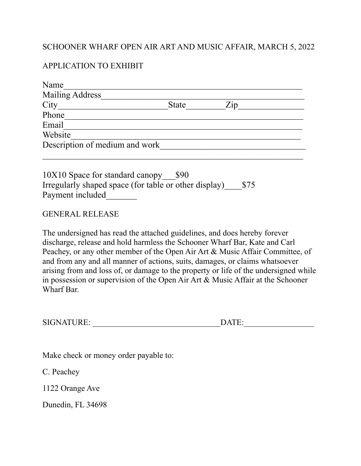## SCHOONER WHARF OPEN AIR ART AND MUSIC AFFAIR, MARCH 5, 2022

## APPLICATION TO EXHIBIT

| Name                           |              |                   |
|--------------------------------|--------------|-------------------|
| <b>Mailing Address</b>         |              |                   |
| City                           | <b>State</b> | $\overline{Z}$ ip |
| Phone                          |              |                   |
| Email                          |              |                   |
| Website                        |              |                   |
| Description of medium and work |              |                   |
|                                |              |                   |

10X10 Space for standard canopy\_\_\_\$90 Irregularly shaped space (for table or other display)\_\_\_\_\$75 Payment included

## GENERAL RELEASE

The undersigned has read the attached guidelines, and does hereby forever discharge, release and hold harmless the Schooner Wharf Bar, Kate and Carl Peachey, or any other member of the Open Air Art & Music Affair Committee, of and from any and all manner of actions, suits, damages, or claims whatsoever arising from and loss of, or damage to the property or life of the undersigned while in possession or supervision of the Open Air Art & Music Affair at the Schooner Wharf Bar.

| SIGNATURE: | $\mathbf{DATE}$ |  |
|------------|-----------------|--|
|------------|-----------------|--|

Make check or money order payable to:

C. Peachey

1122 Orange Ave

Dunedin, FL 34698